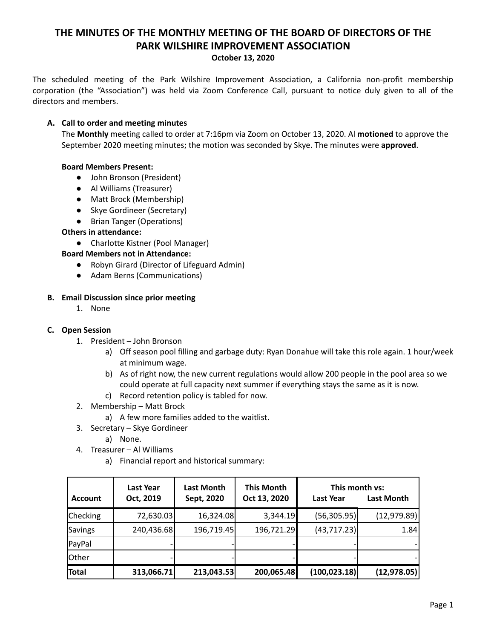# **THE MINUTES OF THE MONTHLY MEETING OF THE BOARD OF DIRECTORS OF THE PARK WILSHIRE IMPROVEMENT ASSOCIATION**

#### **October 13, 2020**

The scheduled meeting of the Park Wilshire Improvement Association, a California non-profit membership corporation (the "Association") was held via Zoom Conference Call, pursuant to notice duly given to all of the directors and members.

## **A. Call to order and meeting minutes**

The **Monthly** meeting called to order at 7:16pm via Zoom on October 13, 2020. Al **motioned** to approve the September 2020 meeting minutes; the motion was seconded by Skye. The minutes were **approved**.

## **Board Members Present:**

- John Bronson (President)
- **●** Al Williams (Treasurer)
- Matt Brock (Membership)
- Skye Gordineer (Secretary)
- Brian Tanger (Operations)

## **Others in attendance:**

● Charlotte Kistner (Pool Manager)

## **Board Members not in Attendance:**

- Robyn Girard (Director of Lifeguard Admin)
- Adam Berns (Communications)

## **B. Email Discussion since prior meeting**

1. None

#### **C. Open Session**

- 1. President John Bronson
	- a) Off season pool filling and garbage duty: Ryan Donahue will take this role again. 1 hour/week at minimum wage.
	- b) As of right now, the new current regulations would allow 200 people in the pool area so we could operate at full capacity next summer if everything stays the same as it is now.
	- c) Record retention policy is tabled for now.
- 2. Membership Matt Brock
	- a) A few more families added to the waitlist.
- 3. Secretary Skye Gordineer
	- a) None.
- 4. Treasurer Al Williams
	- a) Financial report and historical summary:

| <b>Account</b> | <b>Last Year</b><br>Oct, 2019 | Last Month<br>Sept, 2020 | <b>This Month</b><br>Oct 13, 2020 | This month vs:<br><b>Last Year</b> | <b>Last Month</b> |
|----------------|-------------------------------|--------------------------|-----------------------------------|------------------------------------|-------------------|
| Checking       | 72,630.03                     | 16,324.08                | 3,344.19                          | (56,305.95)                        | (12, 979.89)      |
| Savings        | 240,436.68                    | 196,719.45               | 196,721.29                        | (43, 717.23)                       | 1.84              |
| PayPal         |                               |                          |                                   |                                    |                   |
| Other          |                               |                          |                                   |                                    |                   |
| <b>Total</b>   | 313,066.71                    | 213,043.53               | 200,065.48                        | (100, 023.18)                      | (12, 978.05)      |